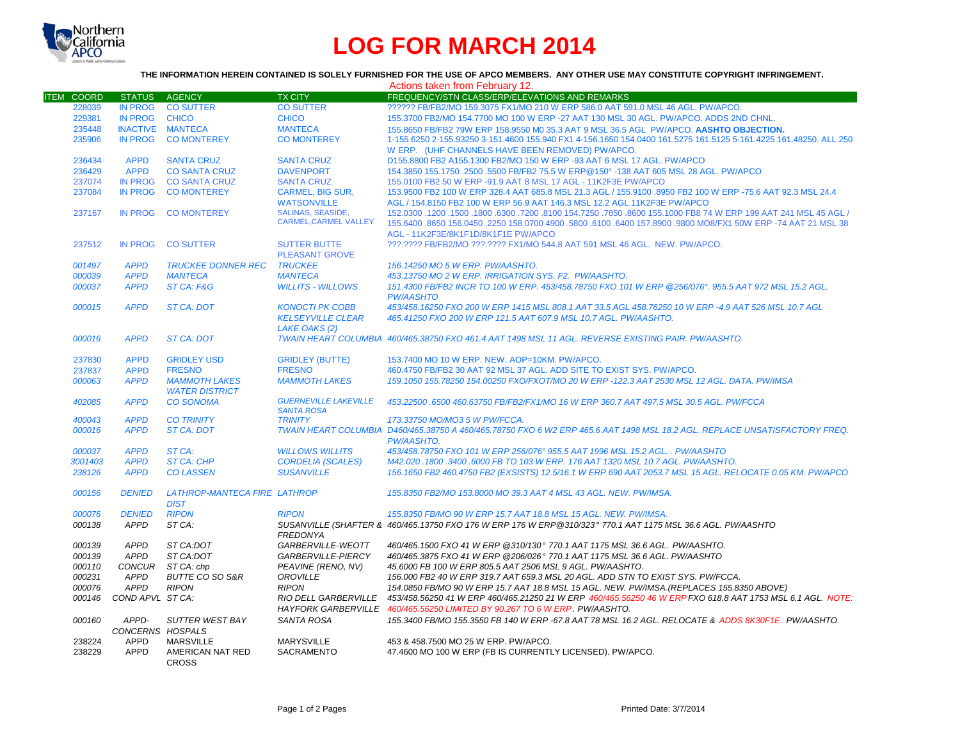

## **LOG FOR MARCH 2014**

## **THE INFORMATION HEREIN CONTAINED IS SOLELY FURNISHED FOR THE USE OF APCO MEMBERS. ANY OTHER USE MAY CONSTITUTE COPYRIGHT INFRINGEMENT.**

|                   |                         |                              |                              | Actions taken from February 12.                                                                                                                       |
|-------------------|-------------------------|------------------------------|------------------------------|-------------------------------------------------------------------------------------------------------------------------------------------------------|
| <b>ITEM COORD</b> | <b>STATUS</b>           | AGENCY                       | <b>TX CITY</b>               | FREQUENCY/STN CLASS/ERP/ELEVATIONS AND REMARKS                                                                                                        |
| 228039            | <b>IN PROG</b>          | <b>CO SUTTER</b>             | <b>CO SUTTER</b>             | ?????? FB/FB2/MO 159.3075 FX1/MO 210 W ERP 586.0 AAT 591.0 MSL 46 AGL. PW/APCO.                                                                       |
| 229381            | <b>IN PROG</b>          | <b>CHICO</b>                 | <b>CHICO</b>                 | 155.3700 FB2/MO 154.7700 MO 100 W ERP -27 AAT 130 MSL 30 AGL. PW/APCO. ADDS 2ND CHNL.                                                                 |
| 235448            | <b>INACTIVE MANTECA</b> |                              | <b>MANTECA</b>               | 155.8650 FB/FB2 79W ERP 158.9550 M0 35.3 AAT 9 MSL 36.5 AGL PW/APCO. AASHTO OBJECTION.                                                                |
| 235906            | <b>IN PROG</b>          | <b>CO MONTEREY</b>           | <b>CO MONTEREY</b>           | 1-155.6250 2-155.93250 3-151.4600 155.940 FX1 4-156.1650 154.0400 161.5275 161.5125 5-161.4225 161.48250. ALL 250                                     |
|                   |                         |                              |                              | W ERP. (UHF CHANNELS HAVE BEEN REMOVED) PW/APCO.                                                                                                      |
| 236434            | <b>APPD</b>             | <b>SANTA CRUZ</b>            | <b>SANTA CRUZ</b>            | D155.8800 FB2 A155.1300 FB2/MO 150 W ERP -93 AAT 6 MSL 17 AGL. PW/APCO                                                                                |
| 236429            | <b>APPD</b>             | <b>CO SANTA CRUZ</b>         | <b>DAVENPORT</b>             | 154.3850 155.1750 .2500 .5500 FB/FB2 75.5 W ERP@150° -138 AAT 605 MSL 28 AGL. PW/APCO                                                                 |
| 237074            | <b>IN PROG</b>          | <b>CO SANTA CRUZ</b>         | <b>SANTA CRUZ</b>            | 155,0100 FB2 50 W ERP -91.9 AAT 8 MSL 17 AGL - 11K2F3E PW/APCO                                                                                        |
| 237084            | <b>IN PROG</b>          | <b>CO MONTEREY</b>           | <b>CARMEL, BIG SUR,</b>      | 153.9500 FB2 100 W ERP 328.4 AAT 685.8 MSL 21.3 AGL / 155.9100 .8950 FB2 100 W ERP -75.6 AAT 92.3 MSL 24.4                                            |
|                   |                         |                              | <b>WATSONVILLE</b>           | AGL / 154.8150 FB2 100 W ERP 56.9 AAT 146.3 MSL 12.2 AGL 11K2F3E PW/APCO                                                                              |
|                   |                         |                              | <b>SALINAS, SEASIDE,</b>     |                                                                                                                                                       |
| 237167            | <b>IN PROG</b>          | <b>CO MONTEREY</b>           | <b>CARMEL.CARMEL VALLEY</b>  | 152.0300 .1200 .1500 .6300 .8100 154.7250 .7850 .8600 155.1000 FB8 74 W ERP 199 AAT 241 MSL 45 AGL /                                                  |
|                   |                         |                              |                              | 155.6400 .8650 156.0450 .2250 158.0700 4900 .5800 .6100 .6400 157.8900 .9800 MO8/FX1 50W ERP -74 AAT 21 MSL 38<br>AGL - 11K2F3E/8K1F1D/8K1F1E PW/APCO |
| 237512            | <b>IN PROG</b>          | <b>CO SUTTER</b>             | <b>SUTTER BUTTE</b>          | ???.???? FB/FB2/MO ???.???? FX1/MO 544.8 AAT 591 MSL 46 AGL. NEW. PW/APCO.                                                                            |
|                   |                         |                              | <b>PLEASANT GROVE</b>        |                                                                                                                                                       |
| 001497            | <b>APPD</b>             | <b>TRUCKEE DONNER REC</b>    | <b>TRUCKEE</b>               | 156.14250 MO 5 W ERP. PW/AASHTO.                                                                                                                      |
| 000039            | <b>APPD</b>             | <b>MANTECA</b>               | <b>MANTECA</b>               | 453.13750 MO 2 W ERP. IRRIGATION SYS. F2. PW/AASHTO.                                                                                                  |
| 000037            | <b>APPD</b>             | ST CA: F&G                   | <b>WILLITS - WILLOWS</b>     | 151.4300 FB/FB2 INCR TO 100 W ERP. 453/458.78750 FXO 101 W ERP @256/076°, 955.5 AAT 972 MSL 15.2 AGL.                                                 |
|                   |                         |                              |                              | <b>PW/AASHTO</b>                                                                                                                                      |
| 000015            | <b>APPD</b>             | <b>ST CA: DOT</b>            | <b>KONOCTI PK COBB</b>       | 453/458.16250 FXO 200 W ERP 1415 MSL 808.1 AAT 33.5 AGL 458.76250 10 W ERP -4.9 AAT 526 MSL 10.7 AGL                                                  |
|                   |                         |                              | <b>KELSEYVILLE CLEAR</b>     | 465.41250 FXO 200 W ERP 121.5 AAT 607.9 MSL 10.7 AGL, PW/AASHTO.                                                                                      |
|                   |                         |                              | <b>LAKE OAKS (2)</b>         |                                                                                                                                                       |
| 000016            | <b>APPD</b>             | <b>ST CA: DOT</b>            |                              | TWAIN HEART COLUMBIA 460/465.38750 FXO 461.4 AAT 1498 MSL 11 AGL. REVERSE EXISTING PAIR, PW/AASHTO.                                                   |
|                   |                         |                              |                              |                                                                                                                                                       |
| 237830            | <b>APPD</b>             | <b>GRIDLEY USD</b>           | <b>GRIDLEY (BUTTE)</b>       | 153.7400 MO 10 W ERP. NEW. AOP=10KM. PW/APCO.                                                                                                         |
| 237837            | <b>APPD</b>             | <b>FRESNO</b>                | <b>FRESNO</b>                | 460.4750 FB/FB2 30 AAT 92 MSL 37 AGL. ADD SITE TO EXIST SYS. PW/APCO.                                                                                 |
| 000063            | <b>APPD</b>             | <b>MAMMOTH LAKES</b>         | <b>MAMMOTH LAKES</b>         | 159.1050 155.78250 154.00250 FXO/FXOT/MO 20 W ERP -122.3 AAT 2530 MSL 12 AGL, DATA, PW/IMSA                                                           |
|                   |                         | <b>WATER DISTRICT</b>        |                              |                                                                                                                                                       |
| 402085            | <b>APPD</b>             | <b>CO SONOMA</b>             | <b>GUERNEVILLE LAKEVILLE</b> | 453.22500 .6500 460.63750 FB/FB2/FX1/MO 16 W ERP 360.7 AAT 497.5 MSL 30.5 AGL. PW/FCCA                                                                |
|                   |                         |                              | <b>SANTA ROSA</b>            |                                                                                                                                                       |
| 400043            | <b>APPD</b>             | <b>CO TRINITY</b>            | <b>TRINITY</b>               | 173.33750 MO/MO3 5 W PW/FCCA.                                                                                                                         |
| 000016            | <b>APPD</b>             | <b>ST CA: DOT</b>            |                              | TWAIN HEART COLUMBIA D460/465.38750 A 460/465.78750 FXO 6 W2 ERP 465.6 AAT 1498 MSL 18.2 AGL. REPLACE UNSATISFACTORY FREQ.                            |
|                   |                         |                              |                              | <b>PW/AASHTO.</b>                                                                                                                                     |
| 000037            | <b>APPD</b>             | ST CA:                       | <b>WILLOWS WILLITS</b>       | 453/458.78750 FXO 101 W ERP 256/076° 955.5 AAT 1996 MSL 15.2 AGL., PW/AASHTO                                                                          |
| 3001403           | <b>APPD</b>             | <b>ST CA: CHP</b>            | <b>CORDELIA (SCALES)</b>     | M42.020.1800.3400.6000 FB TO 103 W ERP. 176 AAT 1320 MSL 10.7 AGL. PW/AASHTO.                                                                         |
| 238126            | <b>APPD</b>             | <b>CO LASSEN</b>             | <b>SUSANVILLE</b>            | 156.1650 FB2 460.4750 FB2 (EXSISTS) 12.5/16.1 W ERP 690 AAT 2053.7 MSL 15 AGL. RELOCATE 0.05 KM. PW/APCO                                              |
|                   |                         |                              |                              |                                                                                                                                                       |
| 000156            | <b>DENIED</b>           | LATHROP-MANTECA FIRE LATHROP |                              | 155.8350 FB2/MO 153.8000 MO 39.3 AAT 4 MSL 43 AGL. NEW. PW/IMSA.                                                                                      |
|                   |                         | <b>DIST</b>                  |                              |                                                                                                                                                       |
| 000076            | <b>DENIED</b>           | <b>RIPON</b>                 | <b>RIPON</b>                 | 155.8350 FB/MO 90 W ERP 15.7 AAT 18.8 MSL 15 AGL. NEW. PW/IMSA.                                                                                       |
| 000138            | <b>APPD</b>             | ST CA:                       |                              | SUSANVILLE (SHAFTER & 460/465.13750 FXO 176 W ERP 176 W ERP@310/323° 770.1 AAT 1175 MSL 36.6 AGL. PW/AASHTO                                           |
|                   |                         |                              | <b>FREDONYA</b>              |                                                                                                                                                       |
| 000139            | <b>APPD</b>             | ST CA:DOT                    | GARBERVILLE-WEOTT            | 460/465.1500 FXO 41 W ERP @310/130° 770.1 AAT 1175 MSL 36.6 AGL. PW/AASHTO.                                                                           |
| 000139            | <b>APPD</b>             | ST CA:DOT                    | GARBERVILLE-PIERCY           | 460/465.3875 FXO 41 W ERP @206/026° 770.1 AAT 1175 MSL 36.6 AGL. PW/AASHTO                                                                            |
| 000110            | <b>CONCUR</b>           | ST CA: chp                   | PEAVINE (RENO, NV)           | 45,6000 FB 100 W ERP 805.5 AAT 2506 MSL 9 AGL, PW/AASHTO.                                                                                             |
|                   |                         |                              |                              |                                                                                                                                                       |
| 000231            | <b>APPD</b>             | BUTTE CO SO S&R              | OROVILLE                     | 156.000 FB2 40 W ERP 319.7 AAT 659.3 MSL 20 AGL. ADD STN TO EXIST SYS. PW/FCCA.                                                                       |
| 000076            | <b>APPD</b>             | <b>RIPON</b>                 | <b>RIPON</b>                 | 154.0850 FB/MO 90 W ERP 15.7 AAT 18.8 MSL 15 AGL. NEW. PW/IMSA. (REPLACES 155.8350 ABOVE)                                                             |
| 000146            | COND APVL ST CA:        |                              | <b>RIO DELL GARBERVILLE</b>  | 453/458.56250 41 W ERP 460/465.21250 21 W ERP 460/465.56250 46 W ERP FXO 618.8 AAT 1753 MSL 6.1 AGL. NOTE:                                            |
|                   |                         |                              |                              | HAYFORK GARBERVILLE 460/465.56250 LIMITED BY 90.267 TO 6 W ERP. PW/AASHTO.                                                                            |
| 000160            | APPD-                   | SUTTER WEST BAY              | SANTA ROSA                   | 155.3400 FB/MO 155.3550 FB 140 W ERP -67.8 AAT 78 MSL 16.2 AGL. RELOCATE & ADDS 8K30F1E. PW/AASHTO.                                                   |
|                   | CONCERNS HOSPALS        |                              |                              |                                                                                                                                                       |
| 238224            | APPD                    | <b>MARSVILLE</b>             | <b>MARYSVILLE</b>            | 453 & 458.7500 MO 25 W ERP. PW/APCO.                                                                                                                  |
| 238229            | <b>APPD</b>             | AMERICAN NAT RED             | <b>SACRAMENTO</b>            | 47.4600 MO 100 W ERP (FB IS CURRENTLY LICENSED). PW/APCO.                                                                                             |
|                   |                         | <b>CROSS</b>                 |                              |                                                                                                                                                       |